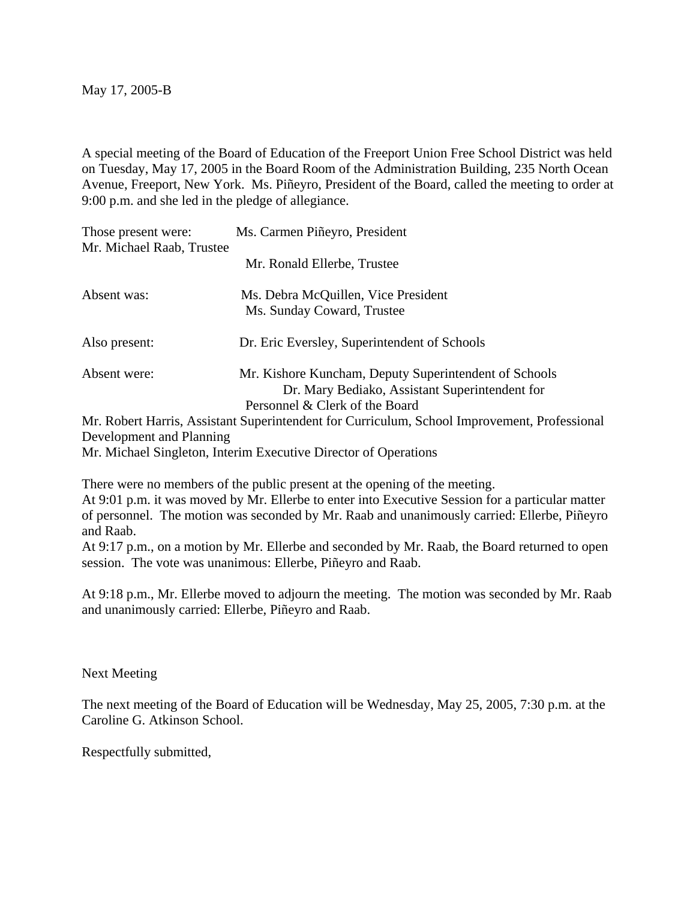May 17, 2005-B

A special meeting of the Board of Education of the Freeport Union Free School District was held on Tuesday, May 17, 2005 in the Board Room of the Administration Building, 235 North Ocean Avenue, Freeport, New York. Ms. Piñeyro, President of the Board, called the meeting to order at 9:00 p.m. and she led in the pledge of allegiance.

| Those present were:<br>Mr. Michael Raab, Trustee | Ms. Carmen Piñeyro, President                                                                                                             |
|--------------------------------------------------|-------------------------------------------------------------------------------------------------------------------------------------------|
|                                                  | Mr. Ronald Ellerbe, Trustee                                                                                                               |
| Absent was:                                      | Ms. Debra McQuillen, Vice President<br>Ms. Sunday Coward, Trustee                                                                         |
| Also present:                                    | Dr. Eric Eversley, Superintendent of Schools                                                                                              |
| Absent were:                                     | Mr. Kishore Kuncham, Deputy Superintendent of Schools<br>Dr. Mary Bediako, Assistant Superintendent for<br>Personnel & Clerk of the Board |
|                                                  | Mr. Robert Harris, Assistant Superintendent for Curriculum, School Improvement, Professional                                              |

Development and Planning

Mr. Michael Singleton, Interim Executive Director of Operations

There were no members of the public present at the opening of the meeting.

At 9:01 p.m. it was moved by Mr. Ellerbe to enter into Executive Session for a particular matter of personnel. The motion was seconded by Mr. Raab and unanimously carried: Ellerbe, Piñeyro and Raab.

At 9:17 p.m., on a motion by Mr. Ellerbe and seconded by Mr. Raab, the Board returned to open session. The vote was unanimous: Ellerbe, Piñeyro and Raab.

At 9:18 p.m., Mr. Ellerbe moved to adjourn the meeting. The motion was seconded by Mr. Raab and unanimously carried: Ellerbe, Piñeyro and Raab.

Next Meeting

The next meeting of the Board of Education will be Wednesday, May 25, 2005, 7:30 p.m. at the Caroline G. Atkinson School.

Respectfully submitted,